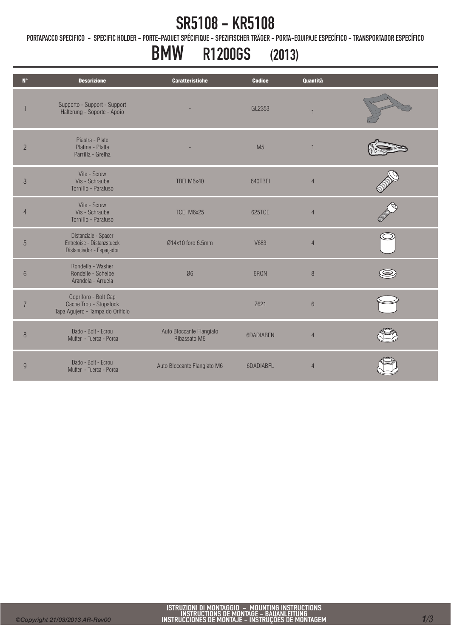## SR5108 - KR5108

PORTAPACCO SPECIFICO - SPECIFIC HOLDER - PORTE-PAQUET SPÉCIFIQUE - SPEZIFISCHER TRÄGER - PORTA-EQUIPAJE ESPECÍFICO - TRANSPORTADOR ESPECÍFICO

# BMW R1200GS (2013)

| $\mathbf{N}^\circ$ | <b>Descrizione</b>                                                                 | <b>Caratteristiche</b>                   | <b>Codice</b>  | <b>Quantità</b> |  |
|--------------------|------------------------------------------------------------------------------------|------------------------------------------|----------------|-----------------|--|
|                    | Supporto - Support - Support<br>Halterung - Soporte - Apoio                        |                                          | GL2353         |                 |  |
| $\overline{2}$     | Piastra - Plate<br>Platine - Platte<br>Parrilla - Grelha                           |                                          | M <sub>5</sub> | $\overline{1}$  |  |
| $\mathfrak{Z}$     | Vite - Screw<br>Vis - Schraube<br>Tornillo - Parafuso                              | TBEI M6x40                               | 640TBEI        | $\overline{4}$  |  |
| $\overline{4}$     | Vite - Screw<br>Vis - Schraube<br>Tornillo - Parafuso                              | TCEI M6x25                               | 625TCE         | $\overline{4}$  |  |
| 5                  | Distanziale - Spacer<br>Entretoise - Distanzstueck<br>Distanciador - Espaçador     | Ø14x10 foro 6.5mm                        | V683           | $\overline{4}$  |  |
| $6\phantom{1}$     | Rondella - Washer<br>Rondelle - Scheibe<br>Arandela - Arruela                      | Ø6                                       | 6RON           | 8               |  |
| $\overline{7}$     | Copriforo - Bolt Cap<br>Cache Trou - Stopslock<br>Tapa Agujero - Tampa do Orifício |                                          | Z621           | $6\phantom{.}6$ |  |
| 8                  | Dado - Bolt - Ecrou<br>Mutter - Tuerca - Porca                                     | Auto Bloccante Flangiato<br>Ribassato M6 | 6DADIABEN      | $\overline{4}$  |  |
| 9                  | Dado - Bolt - Ecrou<br>Mutter - Tuerca - Porca                                     | Auto Bloccante Flangiato M6              | 6DADIABFL      | $\overline{4}$  |  |

Ī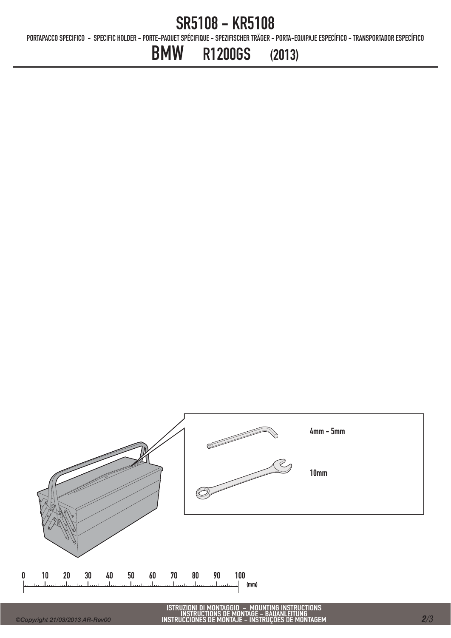#### SR5108 - KR5108

PORTAPACCO SPECIFICO - SPECIFIC HOLDER - PORTE-PAQUET SPÉCIFIQUE - SPEZIFISCHER TRÄGER - PORTA-EQUIPAJE ESPECÍFICO - TRANSPORTADOR ESPECÍFICO

## BMW R1200GS (2013)



 $\mathbf{0}$ 

ISTRUZIONI DI MONTAGGIO - MOUNTING INSTRUCTIONS<br>INSTRUCTIONS DE MONTAGE - BAUANLEITUNG<br>INSTRUCCIONES DE MONTAJE - INSTRUÇÕES DE MONTAGEM